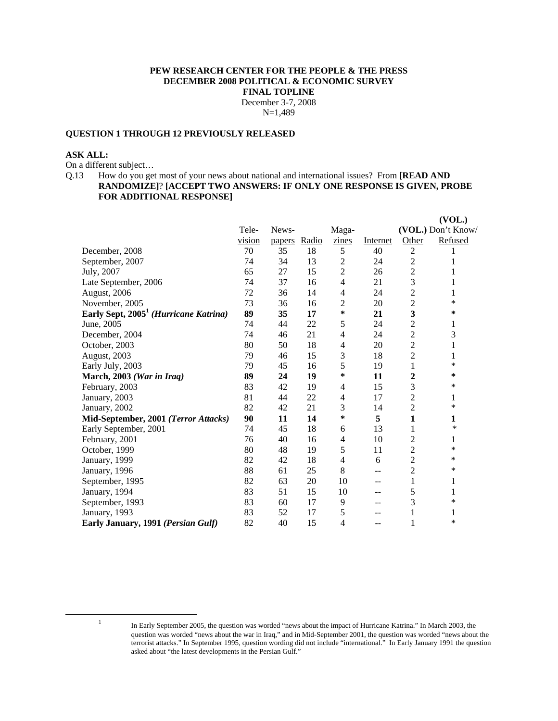#### **PEW RESEARCH CENTER FOR THE PEOPLE & THE PRESS DECEMBER 2008 POLITICAL & ECONOMIC SURVEY FINAL TOPLINE**  December 3-7, 2008 N=1,489

## **QUESTION 1 THROUGH 12 PREVIOUSLY RELEASED**

#### **ASK ALL:**

On a different subject…

Q.13 How do you get most of your news about national and international issues? From **[READ AND RANDOMIZE]**? **[ACCEPT TWO ANSWERS: IF ONLY ONE RESPONSE IS GIVEN, PROBE FOR ADDITIONAL RESPONSE]**

|                                                   |        |        |       |                |          |                | (VOL.)             |
|---------------------------------------------------|--------|--------|-------|----------------|----------|----------------|--------------------|
|                                                   | Tele-  | News-  |       | Maga-          |          |                | (VOL.) Don't Know/ |
|                                                   | vision | papers | Radio | zines          | Internet | Other          | Refused            |
| December, 2008                                    | 70     | 35     | 18    | 5              | 40       | $\overline{2}$ |                    |
| September, 2007                                   | 74     | 34     | 13    | $\overline{c}$ | 24       | $\overline{c}$ | 1                  |
| July, 2007                                        | 65     | 27     | 15    | $\overline{c}$ | 26       | $\overline{c}$ | 1                  |
| Late September, 2006                              | 74     | 37     | 16    | $\overline{4}$ | 21       | 3              | 1                  |
| August, 2006                                      | 72     | 36     | 14    | 4              | 24       | $\overline{c}$ | 1                  |
| November, 2005                                    | 73     | 36     | 16    | 2              | 20       | $\overline{c}$ | *                  |
| Early Sept, 2005 <sup>1</sup> (Hurricane Katrina) | 89     | 35     | 17    | ∗              | 21       | 3              | ∗                  |
| June, 2005                                        | 74     | 44     | 22    | 5              | 24       | $\overline{c}$ | 1                  |
| December, 2004                                    | 74     | 46     | 21    | 4              | 24       | $\overline{c}$ | 3                  |
| October, 2003                                     | 80     | 50     | 18    | 4              | 20       | $\overline{c}$ | 1                  |
| August, 2003                                      | 79     | 46     | 15    | 3              | 18       | $\overline{c}$ | 1                  |
| Early July, 2003                                  | 79     | 45     | 16    | 5              | 19       | 1              | *                  |
| March, 2003 (War in Iraq)                         | 89     | 24     | 19    | ∗              | 11       | 2              | ∗                  |
| February, 2003                                    | 83     | 42     | 19    | 4              | 15       | 3              | *                  |
| January, 2003                                     | 81     | 44     | 22    | 4              | 17       | $\overline{c}$ | 1                  |
| January, 2002                                     | 82     | 42     | 21    | 3              | 14       | $\overline{c}$ | *                  |
| Mid-September, 2001 (Terror Attacks)              | 90     | 11     | 14    | ∗              | 5        | 1              | 1                  |
| Early September, 2001                             | 74     | 45     | 18    | 6              | 13       | 1              | ∗                  |
| February, 2001                                    | 76     | 40     | 16    | 4              | 10       | $\overline{c}$ | 1                  |
| October, 1999                                     | 80     | 48     | 19    | 5              | 11       | $\overline{c}$ | *                  |
| January, 1999                                     | 82     | 42     | 18    | 4              | 6        | $\overline{2}$ | *                  |
| January, 1996                                     | 88     | 61     | 25    | 8              | --       | $\overline{c}$ | ∗                  |
| September, 1995                                   | 82     | 63     | 20    | 10             | $-$      | 1              | 1                  |
| January, 1994                                     | 83     | 51     | 15    | 10             | --       | 5              | 1                  |
| September, 1993                                   | 83     | 60     | 17    | 9              | --       | 3              | *                  |
| January, 1993                                     | 83     | 52     | 17    | 5              | --       |                | 1                  |
| Early January, 1991 (Persian Gulf)                | 82     | 40     | 15    | 4              | $\sim$   | 1              | *                  |

 $\frac{1}{1}$ 

In Early September 2005, the question was worded "news about the impact of Hurricane Katrina." In March 2003, the question was worded "news about the war in Iraq," and in Mid-September 2001, the question was worded "news about the terrorist attacks." In September 1995, question wording did not include "international." In Early January 1991 the question asked about "the latest developments in the Persian Gulf."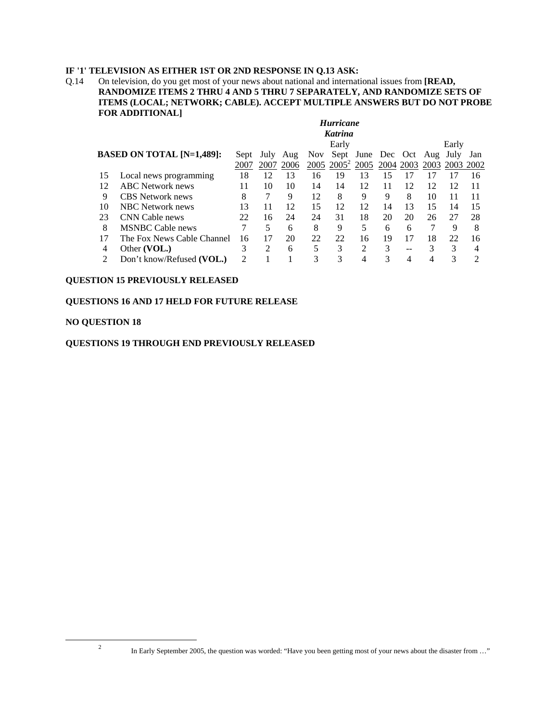# **IF '1' TELEVISION AS EITHER 1ST OR 2ND RESPONSE IN Q.13 ASK:**

Q.14 On television, do you get most of your news about national and international issues from **[READ, RANDOMIZE ITEMS 2 THRU 4 AND 5 THRU 7 SEPARATELY, AND RANDOMIZE SETS OF ITEMS (LOCAL; NETWORK; CABLE). ACCEPT MULTIPLE ANSWERS BUT DO NOT PROBE FOR ADDITIONAL]** 

|    | <b>Hurricane</b>                 |      |      |      |            |          |                   |    |           |     |                |     |
|----|----------------------------------|------|------|------|------------|----------|-------------------|----|-----------|-----|----------------|-----|
|    | <b>Katrina</b>                   |      |      |      |            |          |                   |    |           |     |                |     |
|    |                                  |      |      |      |            | Early    |                   |    |           |     | Early          |     |
|    | <b>BASED ON TOTAL [N=1,489]:</b> | Sept | July | Aug  | <b>Nov</b> |          | Sept June Dec Oct |    |           | Aug | July           | Jan |
|    |                                  | 2007 | 2007 | 2006 | 2005       | $2005^2$ | 2005              |    | 2004 2003 |     | 2003 2003 2002 |     |
| 15 | Local news programming           | 18   | 12   | 13   | 16         | 19       | 13                | 15 | 17        | 17  | 17             | 16  |
| 12 | <b>ABC</b> Network news          | 11   | 10   | 10   | 14         | 14       | 12                | 11 | 12        | 12  | 12             | 11  |
| 9  | CBS Network news                 | 8    |      | 9    | 12         | 8        | 9                 | 9  | 8         | 10  | 11             | 11  |
| 10 | <b>NBC</b> Network news          | 13   | 11   | 12   | 15         | 12       | 12                | 14 | 13        | 15  | 14             | 15  |
| 23 | CNN Cable news                   | 22   | 16   | 24   | 24         | 31       | 18                | 20 | 20        | 26  | 27             | 28  |
| 8  | <b>MSNBC Cable news</b>          | 7    | 5    | 6    | 8          | 9        | 5                 | 6  | 6         |     | 9              | 8   |
| 17 | The Fox News Cable Channel       | 16   | 17   | 20   | 22         | 22       | 16                | 19 | 17        | 18  | 22             | 16  |
| 4  | Other (VOL.)                     | 3    | 2    | 6    | 5          | 3        | 2                 | 3  | --        | 3   | 3              | 4   |
|    | Don't know/Refused (VOL.)        | 2    |      |      | 3          | 3        |                   |    |           |     |                | ∍   |

### **QUESTION 15 PREVIOUSLY RELEASED**

## **QUESTIONS 16 AND 17 HELD FOR FUTURE RELEASE**

#### **NO QUESTION 18**

### **QUESTIONS 19 THROUGH END PREVIOUSLY RELEASED**

<sup>&</sup>lt;sup>2</sup> In Early September 2005, the question was worded: "Have you been getting most of your news about the disaster from ..."